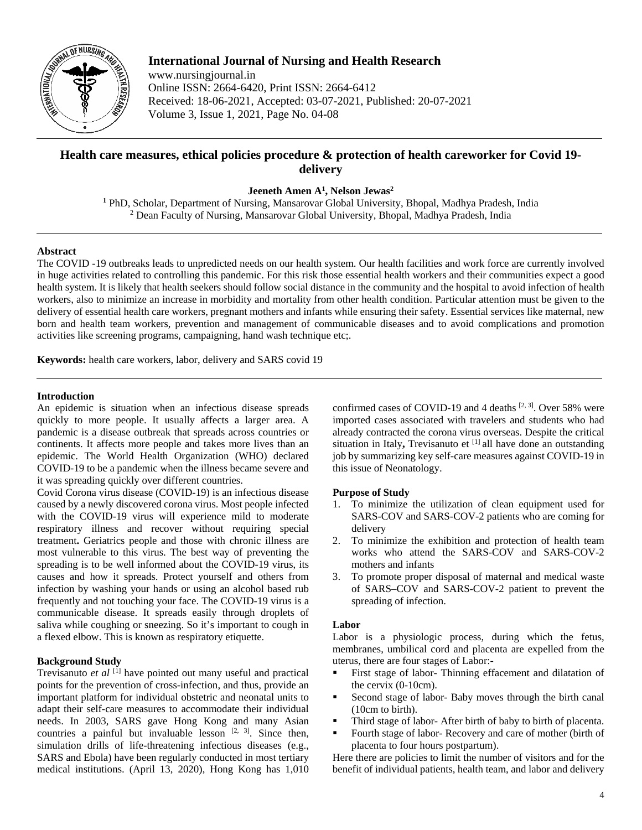

**International Journal of Nursing and Health Research** www.nursingjournal.in Online ISSN: 2664-6420, Print ISSN: 2664-6412 Received: 18-06-2021, Accepted: 03-07-2021, Published: 20-07-2021 Volume 3, Issue 1, 2021, Page No. 04-08

# **Health care measures, ethical policies procedure & protection of health careworker for Covid 19 delivery**

**Jeeneth Amen A1 , Nelson Jewas2**

**<sup>1</sup>** PhD, Scholar, Department of Nursing, Mansarovar Global University, Bhopal, Madhya Pradesh, India <sup>2</sup> Dean Faculty of Nursing, Mansarovar Global University, Bhopal, Madhya Pradesh, India

# **Abstract**

The COVID -19 outbreaks leads to unpredicted needs on our health system. Our health facilities and work force are currently involved in huge activities related to controlling this pandemic. For this risk those essential health workers and their communities expect a good health system. It is likely that health seekers should follow social distance in the community and the hospital to avoid infection of health workers, also to minimize an increase in morbidity and mortality from other health condition. Particular attention must be given to the delivery of essential health care workers, pregnant mothers and infants while ensuring their safety. Essential services like maternal, new born and health team workers, prevention and management of communicable diseases and to avoid complications and promotion activities like screening programs, campaigning, hand wash technique etc;.

**Keywords:** health care workers, labor, delivery and SARS covid 19

## **Introduction**

An epidemic is situation when an infectious disease spreads quickly to more people. It usually affects a larger area. A pandemic is a disease outbreak that spreads across countries or continents. It affects more people and takes more lives than an epidemic. The World Health Organization (WHO) declared COVID-19 to be a pandemic when the illness became severe and it was spreading quickly over different countries.

Covid Corona virus disease (COVID-19) is an infectious disease caused by a newly discovered corona virus. Most people infected with the COVID-19 virus will experience mild to moderate respiratory illness and recover without requiring special treatment**.** Geriatrics people and those with chronic illness are most vulnerable to this virus. The best way of preventing the spreading is to be well informed about the COVID-19 virus, its causes and how it spreads. Protect yourself and others from infection by washing your hands or using an alcohol based rub frequently and not touching your face. The COVID-19 virus is a communicable disease. It spreads easily through droplets of saliva while coughing or sneezing. So it's important to cough in a flexed elbow. This is known as respiratory etiquette.

## **Background Study**

Trevisanuto *et al* [1] have pointed out many useful and practical points for the prevention of cross-infection, and thus, provide an important platform for individual obstetric and neonatal units to adapt their self-care measures to accommodate their individual needs. In 2003, SARS gave Hong Kong and many Asian countries a painful but invaluable lesson  $[2, 3]$ . Since then, simulation drills of life-threatening infectious diseases (e.g., SARS and Ebola) have been regularly conducted in most tertiary medical institutions. (April 13, 2020), Hong Kong has 1,010

confirmed cases of COVID-19 and 4 deaths  $[2, 3]$ . Over 58% were imported cases associated with travelers and students who had already contracted the corona virus overseas. Despite the critical situation in Italy, Trevisanuto et [1] all have done an outstanding job by summarizing key self-care measures against COVID-19 in this issue of Neonatology.

## **Purpose of Study**

- 1. To minimize the utilization of clean equipment used for SARS-COV and SARS-COV-2 patients who are coming for delivery
- 2. To minimize the exhibition and protection of health team works who attend the SARS-COV and SARS-COV-2 mothers and infants
- 3. To promote proper disposal of maternal and medical waste of SARS–COV and SARS-COV-2 patient to prevent the spreading of infection.

## **Labor**

Labor is a physiologic process, during which the fetus, membranes, umbilical cord and placenta are expelled from the uterus, there are four stages of Labor:-

- First stage of labor- Thinning effacement and dilatation of the cervix (0-10cm).
- Second stage of labor- Baby moves through the birth canal (10cm to birth).
- Third stage of labor- After birth of baby to birth of placenta.
- Fourth stage of labor- Recovery and care of mother (birth of placenta to four hours postpartum).

Here there are policies to limit the number of visitors and for the benefit of individual patients, health team, and labor and delivery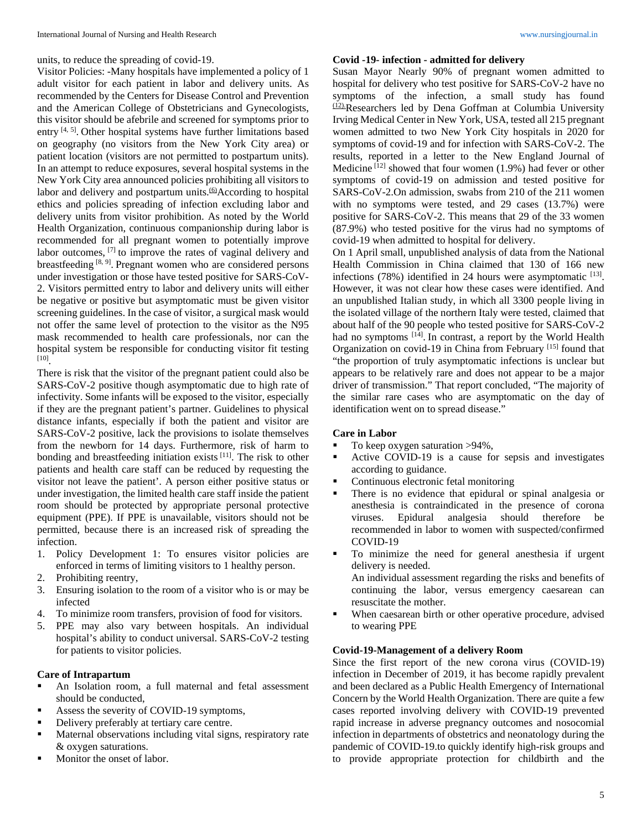units, to reduce the spreading of covid-19.

Visitor Policies: -Many hospitals have implemented a policy of 1 adult visitor for each patient in labor and delivery units. As recommended by the Centers for Disease Control and Prevention and the American College of Obstetricians and Gynecologists, this visitor should be afebrile and screened for symptoms prior to entry  $[4, 5]$ . Other hospital systems have further limitations based on geography (no visitors from the New York City area) or patient location (visitors are not permitted to postpartum units). In an attempt to reduce exposures, several hospital systems in the New York City area announced policies prohibiting all visitors to labor and delivery and postpartum units.<sup>(6)</sup>According to hospital ethics and policies spreading of infection excluding labor and delivery units from visitor prohibition. As noted by the World Health Organization, continuous companionship during labor is recommended for all pregnant women to potentially improve labor outcomes, [7] to improve the rates of vaginal delivery and breastfeeding [8, 9]. Pregnant women who are considered persons under investigation or those have tested positive for SARS-CoV-2. Visitors permitted entry to labor and delivery units will either be negative or positive but asymptomatic must be given visitor screening guidelines. In the case of visitor, a surgical mask would not offer the same level of protection to the visitor as the N95 mask recommended to health care professionals, nor can the hospital system be responsible for conducting visitor fit testing [10] .

There is risk that the visitor of the pregnant patient could also be SARS-CoV-2 positive though asymptomatic due to high rate of infectivity. Some infants will be exposed to the visitor, especially if they are the pregnant patient's partner. Guidelines to physical distance infants, especially if both the patient and visitor are SARS-CoV-2 positive, lack the provisions to isolate themselves from the newborn for 14 days. Furthermore, risk of harm to bonding and breastfeeding initiation exists [11]. The risk to other patients and health care staff can be reduced by requesting the visitor not leave the patient'. A person either positive status or under investigation, the limited health care staff inside the patient room should be protected by appropriate personal protective equipment (PPE). If PPE is unavailable, visitors should not be permitted, because there is an increased risk of spreading the infection.

- 1. Policy Development 1: To ensures visitor policies are enforced in terms of limiting visitors to 1 healthy person.
- 2. Prohibiting reentry,
- 3. Ensuring isolation to the room of a visitor who is or may be infected
- 4. To minimize room transfers, provision of food for visitors.
- 5. PPE may also vary between hospitals. An individual hospital's ability to conduct universal. SARS-CoV-2 testing for patients to visitor policies.

#### **Care of Intrapartum**

- An Isolation room, a full maternal and fetal assessment should be conducted,
- Assess the severity of COVID-19 symptoms,
- Delivery preferably at tertiary care centre.
- Maternal observations including vital signs, respiratory rate & oxygen saturations.
- Monitor the onset of labor.

#### **Covid -19- infection - admitted for delivery**

Susan Mayor Nearly 90% of pregnant women admitted to hospital for delivery who test positive for SARS-CoV-2 have no symptoms of the infection, a small study has found (12).Researchers led by Dena Goffman at Columbia University Irving Medical Center in New York, USA, tested all 215 pregnant women admitted to two New York City hospitals in 2020 for symptoms of covid-19 and for infection with SARS-CoV-2. The results, reported in a letter to the New England Journal of Medicine  $[12]$  showed that four women (1.9%) had fever or other symptoms of covid-19 on admission and tested positive for SARS-CoV-2.On admission, swabs from 210 of the 211 women with no symptoms were tested, and 29 cases (13.7%) were positive for SARS-CoV-2. This means that 29 of the 33 women (87.9%) who tested positive for the virus had no symptoms of covid-19 when admitted to hospital for delivery.

On 1 April small, unpublished analysis of data from the National Health Commission in China claimed that 130 of 166 new infections  $(78%)$  identified in 24 hours were asymptomatic  $^{[13]}$ . However, it was not clear how these cases were identified. And an unpublished Italian study, in which all 3300 people living in the isolated village of the northern Italy were tested, claimed that about half of the 90 people who tested positive for SARS-CoV-2 had no symptoms [14]. In contrast, a report by the World Health Organization on covid-19 in China from February [15] found that "the proportion of truly asymptomatic infections is unclear but appears to be relatively rare and does not appear to be a major driver of transmission." That report concluded, "The majority of the similar rare cases who are asymptomatic on the day of identification went on to spread disease."

#### **Care in Labor**

- To keep oxygen saturation >94%,
- Active COVID-19 is a cause for sepsis and investigates according to guidance.
- Continuous electronic fetal monitoring
- There is no evidence that epidural or spinal analgesia or anesthesia is contraindicated in the presence of corona viruses. Epidural analgesia should therefore be recommended in labor to women with suspected/confirmed COVID-19
- To minimize the need for general anesthesia if urgent delivery is needed.

An individual assessment regarding the risks and benefits of continuing the labor, versus emergency caesarean can resuscitate the mother.

 When caesarean birth or other operative procedure, advised to wearing PPE

#### **Covid-19-Management of a delivery Room**

Since the first report of the new corona virus (COVID-19) infection in December of 2019, it has become rapidly prevalent and been declared as a Public Health Emergency of International Concern by the World Health Organization. There are quite a few cases reported involving delivery with COVID-19 prevented rapid increase in adverse pregnancy outcomes and nosocomial infection in departments of obstetrics and neonatology during the pandemic of COVID-19.to quickly identify high-risk groups and to provide appropriate protection for childbirth and the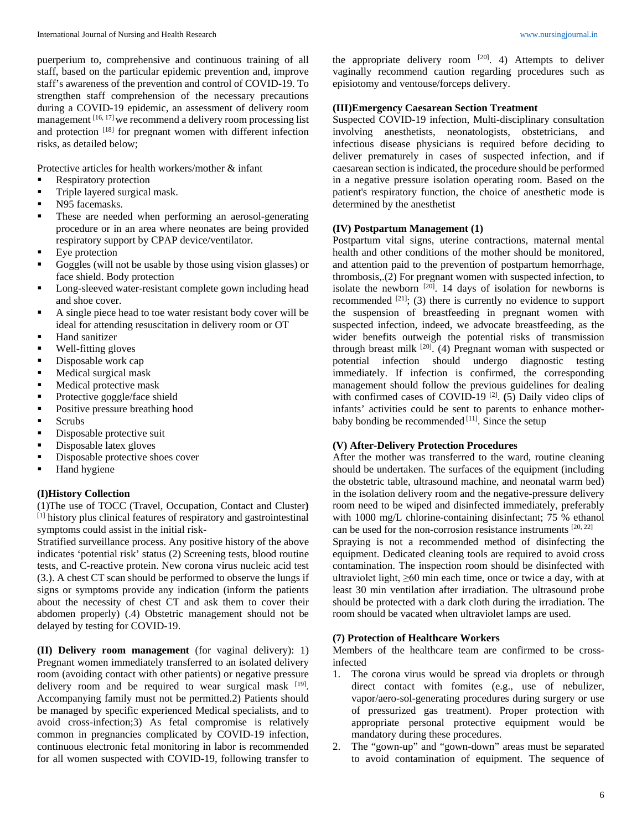puerperium to, comprehensive and continuous training of all staff, based on the particular epidemic prevention and, improve staff's awareness of the prevention and control of COVID-19. To strengthen staff comprehension of the necessary precautions during a COVID-19 epidemic, an assessment of delivery room management [16, 17] we recommend a delivery room processing list and protection [18] for pregnant women with different infection risks, as detailed below;

Protective articles for health workers/mother & infant

- Respiratory protection
- Triple layered surgical mask.
- N95 facemasks.
- These are needed when performing an aerosol-generating procedure or in an area where neonates are being provided respiratory support by CPAP device/ventilator.
- Eye protection
- Goggles (will not be usable by those using vision glasses) or face shield. Body protection
- Long-sleeved water-resistant complete gown including head and shoe cover.
- A single piece head to toe water resistant body cover will be ideal for attending resuscitation in delivery room or OT
- Hand sanitizer
- Well-fitting gloves
- Disposable work cap
- Medical surgical mask
- Medical protective mask
- Protective goggle/face shield
- Positive pressure breathing hood
- **Scrubs**
- Disposable protective suit
- Disposable latex gloves
- Disposable protective shoes cover
- **Hand hygiene**

## **(I)History Collection**

(1)The use of TOCC (Travel, Occupation, Contact and Cluster**)**  [1] history plus clinical features of respiratory and gastrointestinal symptoms could assist in the initial risk-

Stratified surveillance process. Any positive history of the above indicates 'potential risk' status (2) Screening tests, blood routine tests, and C-reactive protein. New corona virus nucleic acid test (3.). A chest CT scan should be performed to observe the lungs if signs or symptoms provide any indication (inform the patients about the necessity of chest CT and ask them to cover their abdomen properly) (.4) Obstetric management should not be delayed by testing for COVID-19.

**(II) Delivery room management** (for vaginal delivery): 1) Pregnant women immediately transferred to an isolated delivery room (avoiding contact with other patients) or negative pressure delivery room and be required to wear surgical mask [19]. Accompanying family must not be permitted.2) Patients should be managed by specific experienced Medical specialists, and to avoid cross-infection;3) As fetal compromise is relatively common in pregnancies complicated by COVID-19 infection, continuous electronic fetal monitoring in labor is recommended for all women suspected with COVID-19, following transfer to

the appropriate delivery room  $[20]$ . 4) Attempts to deliver vaginally recommend caution regarding procedures such as episiotomy and ventouse/forceps delivery.

#### **(III)Emergency Caesarean Section Treatment**

Suspected COVID-19 infection, Multi-disciplinary consultation involving anesthetists, neonatologists, obstetricians, and infectious disease physicians is required before deciding to deliver prematurely in cases of suspected infection, and if caesarean section is indicated, the procedure should be performed in a negative pressure isolation operating room. Based on the patient's respiratory function, the choice of anesthetic mode is determined by the anesthetist

#### **(IV) Postpartum Management (1)**

Postpartum vital signs, uterine contractions, maternal mental health and other conditions of the mother should be monitored, and attention paid to the prevention of postpartum hemorrhage, thrombosis,.(2) For pregnant women with suspected infection, to isolate the newborn  $[20]$ . 14 days of isolation for newborns is recommended  $[21]$ ; (3) there is currently no evidence to support the suspension of breastfeeding in pregnant women with suspected infection, indeed, we advocate breastfeeding, as the wider benefits outweigh the potential risks of transmission through breast milk  $[20]$ . (4) Pregnant woman with suspected or potential infection should undergo diagnostic testing immediately. If infection is confirmed, the corresponding management should follow the previous guidelines for dealing with confirmed cases of COVID-19<sup>[2]</sup>. (5) Daily video clips of infants' activities could be sent to parents to enhance motherbaby bonding be recommended [11]. Since the setup

## **(V) After-Delivery Protection Procedures**

After the mother was transferred to the ward, routine cleaning should be undertaken. The surfaces of the equipment (including the obstetric table, ultrasound machine, and neonatal warm bed) in the isolation delivery room and the negative-pressure delivery room need to be wiped and disinfected immediately, preferably with 1000 mg/L chlorine-containing disinfectant; 75 % ethanol can be used for the non-corrosion resistance instruments [20, 22]

Spraying is not a recommended method of disinfecting the equipment. Dedicated cleaning tools are required to avoid cross contamination. The inspection room should be disinfected with ultraviolet light,  $\geq 60$  min each time, once or twice a day, with at least 30 min ventilation after irradiation. The ultrasound probe should be protected with a dark cloth during the irradiation. The room should be vacated when ultraviolet lamps are used.

#### **(7) Protection of Healthcare Workers**

Members of the healthcare team are confirmed to be crossinfected

- 1. The corona virus would be spread via droplets or through direct contact with fomites (e.g., use of nebulizer, vapor/aero-sol-generating procedures during surgery or use of pressurized gas treatment). Proper protection with appropriate personal protective equipment would be mandatory during these procedures.
- 2. The "gown-up" and "gown-down" areas must be separated to avoid contamination of equipment. The sequence of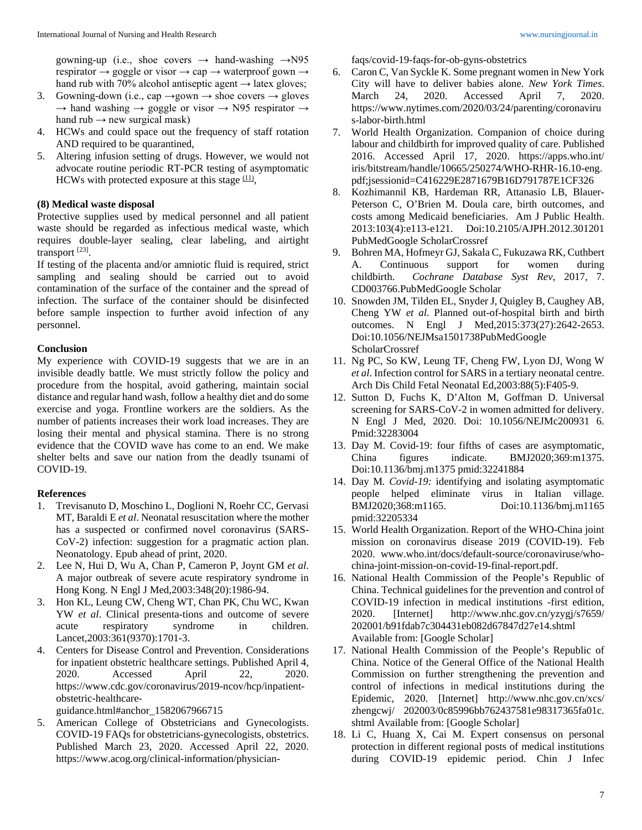gowning-up (i.e., shoe covers  $\rightarrow$  hand-washing  $\rightarrow$ N95 respirator  $\rightarrow$  goggle or visor  $\rightarrow$  cap  $\rightarrow$  waterproof gown  $\rightarrow$ hand rub with 70% alcohol antiseptic agent  $\rightarrow$  latex gloves;

- 3. Gowning-down (i.e., cap  $\rightarrow$  gown  $\rightarrow$  shoe covers  $\rightarrow$  gloves  $\rightarrow$  hand washing  $\rightarrow$  goggle or visor  $\rightarrow$  N95 respirator  $\rightarrow$ hand  $rub \rightarrow new surgical mask)$
- 4. HCWs and could space out the frequency of staff rotation AND required to be quarantined,
- 5. Altering infusion setting of drugs. However, we would not advocate routine periodic RT-PCR testing of asymptomatic HCWs with protected exposure at this stage  $(11)$ ,

# **(8) Medical waste disposal**

Protective supplies used by medical personnel and all patient waste should be regarded as infectious medical waste, which requires double-layer sealing, clear labeling, and airtight transport<sup>[23]</sup>.

If testing of the placenta and/or amniotic fluid is required, strict sampling and sealing should be carried out to avoid contamination of the surface of the container and the spread of infection. The surface of the container should be disinfected before sample inspection to further avoid infection of any personnel.

## **Conclusion**

My experience with COVID-19 suggests that we are in an invisible deadly battle. We must strictly follow the policy and procedure from the hospital, avoid gathering, maintain social distance and regular hand wash, follow a healthy diet and do some exercise and yoga. Frontline workers are the soldiers. As the number of patients increases their work load increases. They are losing their mental and physical stamina. There is no strong evidence that the COVID wave has come to an end. We make shelter belts and save our nation from the deadly tsunami of COVID-19.

# **References**

- 1. Trevisanuto D, Moschino L, Doglioni N, Roehr CC, Gervasi MT, Baraldi E *et al*. Neonatal resuscitation where the mother has a suspected or confirmed novel coronavirus (SARS-CoV-2) infection: suggestion for a pragmatic action plan. Neonatology. Epub ahead of print, 2020.
- 2. Lee N, Hui D, Wu A, Chan P, Cameron P, Joynt GM *et al*. A major outbreak of severe acute respiratory syndrome in Hong Kong. N Engl J Med,2003:348(20):1986-94.
- 3. Hon KL, Leung CW, Cheng WT, Chan PK, Chu WC, Kwan YW *et al*. Clinical presenta-tions and outcome of severe acute respiratory syndrome in children. Lancet,2003:361(9370):1701-3.
- 4. Centers for Disease Control and Prevention. Considerations for inpatient obstetric healthcare settings. Published April 4, 2020. Accessed April 22, 2020. https://www.cdc.gov/coronavirus/2019-ncov/hcp/inpatientobstetric-healthcare-

guidance.html#anchor\_1582067966715

5. American College of Obstetricians and Gynecologists. COVID-19 FAQs for obstetricians-gynecologists, obstetrics. Published March 23, 2020. Accessed April 22, 2020. https://www.acog.org/clinical-information/physicianfaqs/covid-19-faqs-for-ob-gyns-obstetrics

- 6. Caron C, Van Syckle K. Some pregnant women in New York City will have to deliver babies alone. *New York Times*. 24, 2020. Accessed April 7, 2020. https://www.nytimes.com/2020/03/24/parenting/coronaviru s-labor-birth.html
- 7. World Health Organization. Companion of choice during labour and childbirth for improved quality of care. Published 2016. Accessed April 17, 2020. https://apps.who.int/ iris/bitstream/handle/10665/250274/WHO-RHR-16.10-eng. pdf;jsessionid=C416229E2871679B16D791787E1CF326
- 8. Kozhimannil KB, Hardeman RR, Attanasio LB, Blauer-Peterson C, O'Brien M. Doula care, birth outcomes, and costs among Medicaid beneficiaries. Am J Public Health. 2013:103(4):e113-e121. Doi:10.2105/AJPH.2012.301201 PubMedGoogle ScholarCrossref
- 9. Bohren MA, Hofmeyr GJ, Sakala C, Fukuzawa RK, Cuthbert A. Continuous support for women during childbirth. *Cochrane Database Syst Rev*, 2017, 7. CD003766.PubMedGoogle Scholar
- 10. Snowden JM, Tilden EL, Snyder J, Quigley B, Caughey AB, Cheng YW *et al*. Planned out-of-hospital birth and birth outcomes. N Engl J Med,2015:373(27):2642-2653. Doi:10.1056/NEJMsa1501738PubMedGoogle ScholarCrossref
- 11. Ng PC, So KW, Leung TF, Cheng FW, Lyon DJ, Wong W *et al*. Infection control for SARS in a tertiary neonatal centre. Arch Dis Child Fetal Neonatal Ed,2003:88(5):F405-9.
- 12. Sutton D, Fuchs K, D'Alton M, Goffman D. Universal screening for SARS-CoV-2 in women admitted for delivery. N Engl J Med, 2020. Doi: 10.1056/NEJMc200931 6. Pmid:32283004
- 13. Day M. Covid-19: four fifths of cases are asymptomatic, China figures indicate. BMJ2020;369:m1375. Doi:10.1136/bmj.m1375 pmid:32241884
- 14. Day M*. Covid-19:* identifying and isolating asymptomatic people helped eliminate virus in Italian village. BMJ2020;368:m1165. Doi:10.1136/bmj.m1165 pmid:32205334
- 15. World Health Organization. Report of the WHO-China joint mission on coronavirus disease 2019 (COVID-19). Feb 2020. www.who.int/docs/default-source/coronaviruse/whochina-joint-mission-on-covid-19-final-report.pdf.
- 16. National Health Commission of the People's Republic of China. Technical guidelines for the prevention and control of COVID-19 infection in medical institutions -first edition, 2020. [Internet] http://www.nhc.gov.cn/yzygj/s7659/ 202001/b91fdab7c304431eb082d67847d27e14.shtml Available from: [Google Scholar]
- 17. National Health Commission of the People's Republic of China. Notice of the General Office of the National Health Commission on further strengthening the prevention and control of infections in medical institutions during the Epidemic, 2020. [Internet] http://www.nhc.gov.cn/xcs/ zhengcwj/ 202003/0c85996bb762437581e98317365fa01c. shtml Available from: [Google Scholar]
- 18. Li C, Huang X, Cai M. Expert consensus on personal protection in different regional posts of medical institutions during COVID-19 epidemic period. Chin J Infec